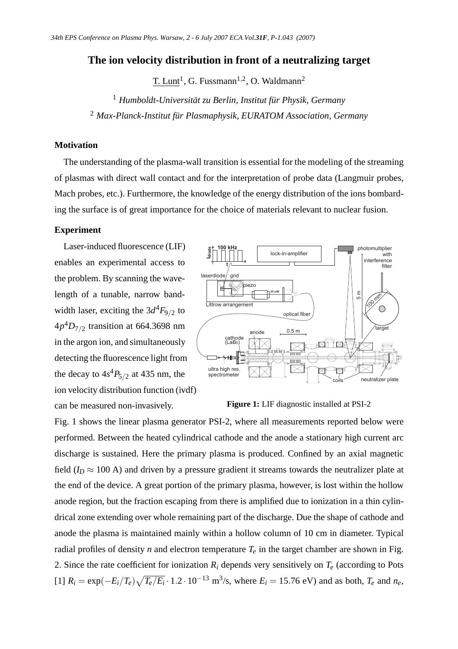# **The ion velocity distribution in front of a neutralizing target**

<u>T. Lunt</u><sup>1</sup>, G. Fussmann<sup>1,2</sup>, O. Waldmann<sup>2</sup>

<sup>1</sup> *Humboldt-Universität zu Berlin, Institut für Physik, Germany*

<sup>2</sup> *Max-Planck-Institut für Plasmaphysik, EURATOM Association, Germany*

# **Motivation**

The understanding of the plasma-wall transition is essential for the modeling of the streaming of plasmas with direct wall contact and for the interpretation of probe data (Langmuir probes, Mach probes, etc.). Furthermore, the knowledge of the energy distribution of the ions bombarding the surface is of great importance for the choice of materials relevant to nuclear fusion.

### **Experiment**

Laser-induced fluorescence (LIF) enables an experimental access to the problem. By scanning the wavelength of a tunable, narrow bandwidth laser, exciting the  $3d^4F_{9/2}$  to 4*p* <sup>4</sup>*D*7/<sup>2</sup> transition at 664.3698 nm in the argon ion, and simultaneously detecting the fluorescence light from the decay to  $4s^4P_{5/2}$  at 435 nm, the ion velocity distribution function (ivdf) can be measured non-invasively.



#### **Figure 1:** LIF diagnostic installed at PSI-2

Fig. 1 shows the linear plasma generator PSI-2, where all measurements reported below were performed. Between the heated cylindrical cathode and the anode a stationary high current arc discharge is sustained. Here the primary plasma is produced. Confined by an axial magnetic field ( $I_D \approx 100$  A) and driven by a pressure gradient it streams towards the neutralizer plate at the end of the device. A great portion of the primary plasma, however, is lost within the hollow anode region, but the fraction escaping from there is amplified due to ionization in a thin cylindrical zone extending over whole remaining part of the discharge. Due the shape of cathode and anode the plasma is maintained mainly within a hollow column of 10 cm in diameter. Typical radial profiles of density *n* and electron temperature  $T_e$  in the target chamber are shown in Fig. 2. Since the rate coefficient for ionization  $R_i$  depends very sensitively on  $T_e$  (according to Pots  $[T]$   $R_i = \exp(-E_i/T_e) \sqrt{T_e/E_i} \cdot 1.2 \cdot 10^{-13}$  m<sup>3</sup>/s, where  $E_i = 15.76$  eV) and as both,  $T_e$  and  $n_e$ ,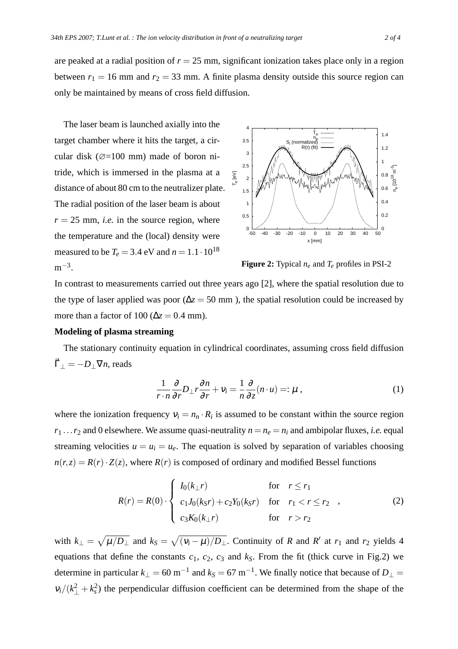are peaked at a radial position of  $r = 25$  mm, significant ionization takes place only in a region between  $r_1 = 16$  mm and  $r_2 = 33$  mm. A finite plasma density outside this source region can only be maintained by means of cross field diffusion.

The laser beam is launched axially into the target chamber where it hits the target, a circular disk ( $\varnothing$ =100 mm) made of boron nitride, which is immersed in the plasma at a distance of about 80 cm to the neutralizer plate. The radial position of the laser beam is about  $r = 25$  mm, *i.e.* in the source region, where the temperature and the (local) density were measured to be  $T_e = 3.4 \text{ eV}$  and  $n = 1.1 \cdot 10^{18}$  $m^{-3}$ .



**Figure 2:** Typical *n<sup>e</sup>* and *T<sup>e</sup>* profiles in PSI-2

In contrast to measurements carried out three years ago [2], where the spatial resolution due to the type of laser applied was poor ( $\Delta z = 50$  mm), the spatial resolution could be increased by more than a factor of 100 ( $\Delta z = 0.4$  mm).

#### **Modeling of plasma streaming**

The stationary continuity equation in cylindrical coordinates, assuming cross field diffusion  $\vec{\Gamma}_{\perp} = -D_{\perp} \nabla n$ , reads

$$
\frac{1}{r \cdot n} \frac{\partial}{\partial r} D_{\perp} r \frac{\partial n}{\partial r} + V_i = \frac{1}{n} \frac{\partial}{\partial z} (n \cdot u) =: \mu ,
$$
 (1)

where the ionization frequency  $v_i = n_n \cdot R_i$  is assumed to be constant within the source region  $r_1 \ldots r_2$  and 0 elsewhere. We assume quasi-neutrality  $n = n_e = n_i$  and ambipolar fluxes, *i.e.* equal streaming velocities  $u = u_i = u_e$ . The equation is solved by separation of variables choosing  $n(r, z) = R(r) \cdot Z(z)$ , where  $R(r)$  is composed of ordinary and modified Bessel functions

$$
R(r) = R(0) \cdot \begin{cases} I_0(k_{\perp}r) & \text{for } r \le r_1 \\ c_1J_0(k_Sr) + c_2Y_0(k_Sr) & \text{for } r_1 < r \le r_2 \\ c_3K_0(k_{\perp}r) & \text{for } r > r_2 \end{cases}
$$
 (2)

with  $k_{\perp} = \sqrt{\mu/D_{\perp}}$  and  $k_S = \sqrt{(v_i - \mu)/D_{\perp}}$ . Continuity of *R* and *R'* at *r*<sub>1</sub> and *r*<sub>2</sub> yields 4 equations that define the constants  $c_1$ ,  $c_2$ ,  $c_3$  and  $k_S$ . From the fit (thick curve in Fig.2) we determine in particular  $k_{\perp} = 60 \text{ m}^{-1}$  and  $k_{\text{S}} = 67 \text{ m}^{-1}$ . We finally notice that because of  $D_{\perp} =$  $v_i/(k_{\perp}^2 + k_s^2)$  the perpendicular diffusion coefficient can be determined from the shape of the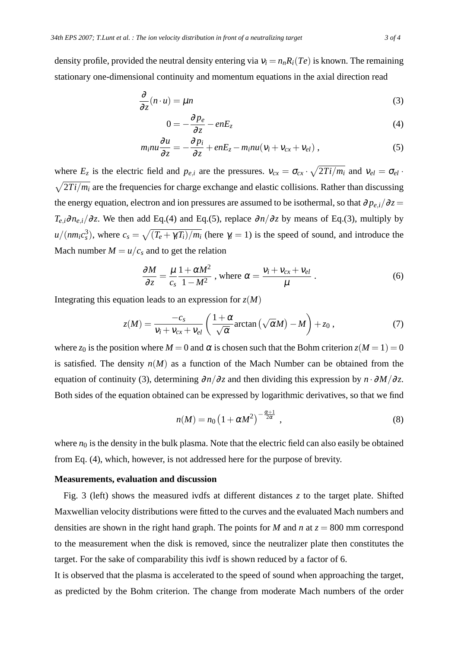density profile, provided the neutral density entering via  $v_i = n_n R_i(T_e)$  is known. The remaining stationary one-dimensional continuity and momentum equations in the axial direction read

$$
\frac{\partial}{\partial z}(n \cdot u) = \mu n \tag{3}
$$

$$
0 = -\frac{\partial p_e}{\partial z} - enE_z \tag{4}
$$

$$
m_i n u \frac{\partial u}{\partial z} = -\frac{\partial p_i}{\partial z} + enE_z - m_i n u (v_i + v_{cx} + v_{el}), \qquad (5)
$$

where  $E_z$  is the electric field and  $p_{e,i}$  are the pressures.  $v_{cx} = \sigma_{cx} \cdot \sqrt{2T_i/m_i}$  and  $v_{el} = \sigma_{el} \cdot$  $\sqrt{2Ti/m_i}$  are the frequencies for charge exchange and elastic collisions. Rather than discussing the energy equation, electron and ion pressures are assumed to be isothermal, so that  $\partial p_{e,i}/\partial z =$  $T_{e,i} \partial n_{e,i}/\partial z$ . We then add Eq.(4) and Eq.(5), replace  $\partial n/\partial z$  by means of Eq.(3), multiply by  $u/(nm_i c_s^3)$ , where  $c_s = \sqrt{(T_e + \gamma_i T_i)/m_i}$  (here  $\gamma_i = 1$ ) is the speed of sound, and introduce the Mach number  $M = u/c_s$  and to get the relation

$$
\frac{\partial M}{\partial z} = \frac{\mu}{c_s} \frac{1 + \alpha M^2}{1 - M^2}
$$
, where  $\alpha = \frac{v_i + v_{cx} + v_{el}}{\mu}$ . (6)

Integrating this equation leads to an expression for  $z(M)$ 

$$
z(M) = \frac{-c_s}{v_i + v_{cx} + v_{el}} \left( \frac{1 + \alpha}{\sqrt{\alpha}} \arctan \left( \sqrt{\alpha} M \right) - M \right) + z_0 , \qquad (7)
$$

where  $z_0$  is the position where  $M = 0$  and  $\alpha$  is chosen such that the Bohm criterion  $z(M = 1) = 0$ is satisfied. The density  $n(M)$  as a function of the Mach Number can be obtained from the equation of continuity (3), determining  $\partial n/\partial z$  and then dividing this expression by  $n \cdot \partial M/\partial z$ . Both sides of the equation obtained can be expressed by logarithmic derivatives, so that we find

$$
n(M) = n_0 \left(1 + \alpha M^2\right)^{-\frac{\alpha+1}{2\alpha}}, \qquad (8)
$$

where  $n_0$  is the density in the bulk plasma. Note that the electric field can also easily be obtained from Eq. (4), which, however, is not addressed here for the purpose of brevity.

# **Measurements, evaluation and discussion**

Fig. 3 (left) shows the measured ivdfs at different distances *z* to the target plate. Shifted Maxwellian velocity distributions were fitted to the curves and the evaluated Mach numbers and densities are shown in the right hand graph. The points for *M* and *n* at  $z = 800$  mm correspond to the measurement when the disk is removed, since the neutralizer plate then constitutes the target. For the sake of comparability this ivdf is shown reduced by a factor of 6.

It is observed that the plasma is accelerated to the speed of sound when approaching the target, as predicted by the Bohm criterion. The change from moderate Mach numbers of the order